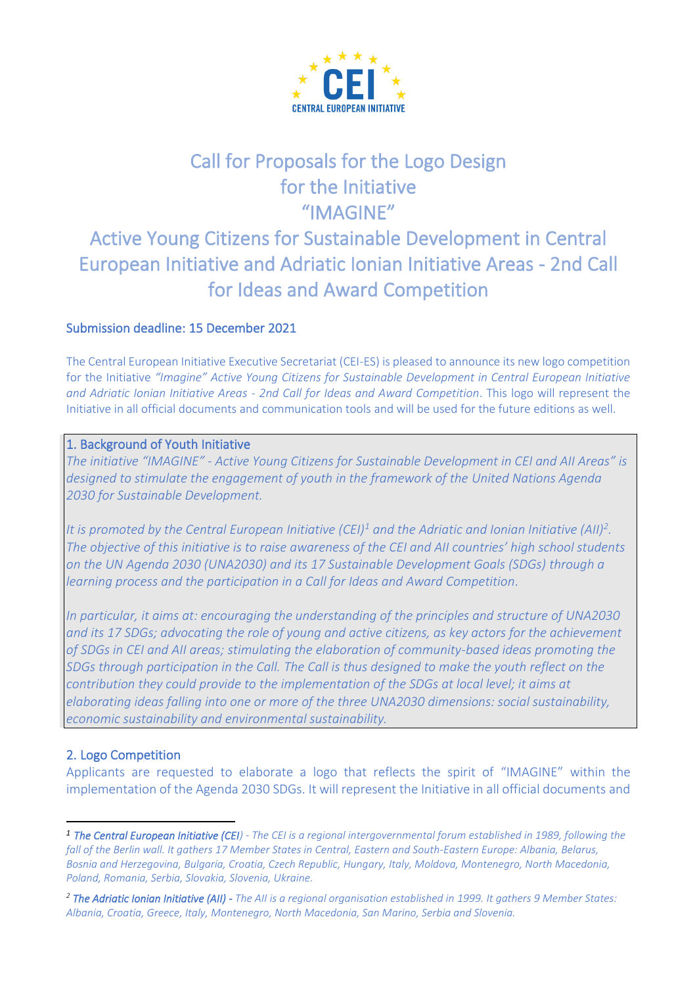

# Call for Proposals for the Logo Design for the Initiative "IMAGINE"

## Active Young Citizens for Sustainable Development in Central European Initiative and Adriatic Ionian Initiative Areas - 2nd Call for Ideas and Award Competition

## Submission deadline: 15 December 2021

The Central European Initiative Executive Secretariat (CEI-ES) is pleased to announce its new logo competition for the Initiative *"Imagine" Active Young Citizens for Sustainable Development in Central European Initiative and Adriatic Ionian Initiative Areas - 2nd Call for Ideas and Award Competition*. This logo will represent the Initiative in all official documents and communication tools and will be used for the future editions as well.

## 1. Background of Youth Initiative

*The initiative "IMAGINE" - Active Young Citizens for Sustainable Development in CEI and AII Areas" is designed to stimulate the engagement of youth in the framework of the [United Nations Agenda](https://sdgs.un.org/2030agenda)  [2030](https://sdgs.un.org/2030agenda) for Sustainable Development.* 

*It is promoted by the Central European Initiative (CEI)<sup>1</sup> and the Adriatic and Ionian Initiative (AII)<sup>2</sup> . The objective of this initiative is to raise awareness of the CEI and AII countries' high school students on the UN Agenda 2030 (UNA2030) and its [17 Sustainable Development Goals \(SDGs\)](https://sdgs.un.org/goals) through a learning process and the participation in a Call for Ideas and Award Competition.*

*In particular, it aims at: encouraging the understanding of the principles and structure of UNA2030 and its 17 SDGs; advocating the role of young and active citizens, as key actors for the achievement of SDGs in CEI and AII areas; stimulating the elaboration of community-based ideas promoting the SDGs through participation in the Call. The Call is thus designed to make the youth reflect on the contribution they could provide to the implementation of the SDGs at local level; it aims at elaborating ideas falling into one or more of the three UNA2030 dimensions: social sustainability, economic sustainability and environmental sustainability.*

### 2. Logo Competition

Applicants are requested to elaborate a logo that reflects the spirit of "IMAGINE" within the implementation of the Agenda 2030 SDGs. It will represent the Initiative in all official documents and

*<sup>1</sup> The Central European Initiative (CEI) - The CEI is a regional intergovernmental forum established in 1989, following the fall of the Berlin wall. It gathers 17 Member States in Central, Eastern and South-Eastern Europe: Albania, Belarus, Bosnia and Herzegovina, Bulgaria, Croatia, Czech Republic, Hungary, Italy, Moldova, Montenegro, North Macedonia, Poland, Romania, Serbia, Slovakia, Slovenia, Ukraine.*

*<sup>2</sup> The Adriatic Ionian Initiative (AII) - The AII is a regional organisation established in 1999. It gathers 9 Member States: Albania, Croatia, Greece, Italy, Montenegro, North Macedonia, San Marino, Serbia and Slovenia.*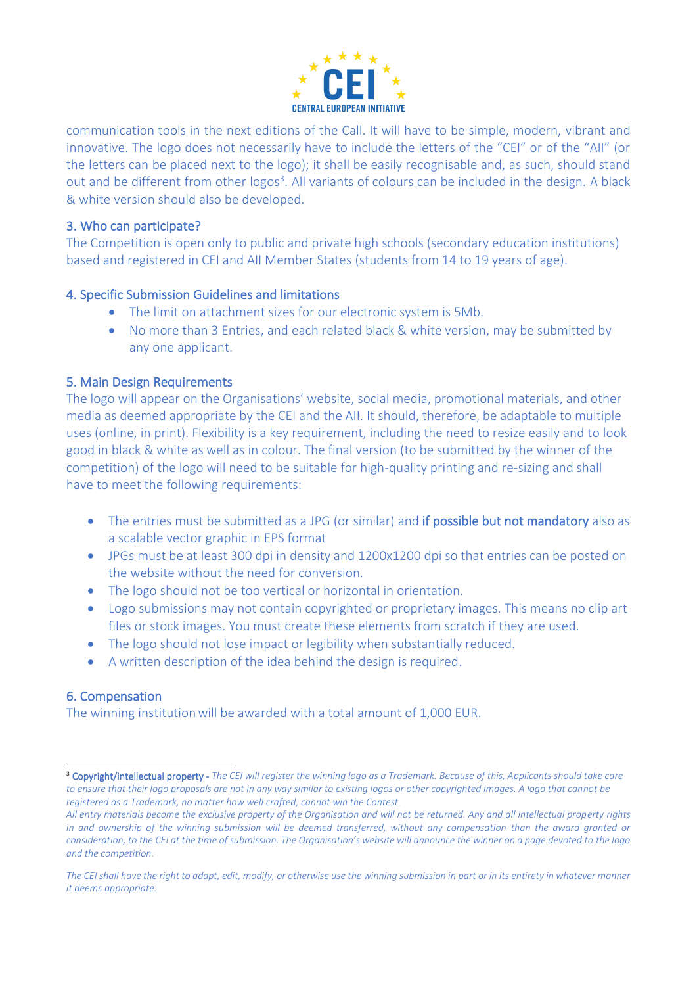

communication tools in the next editions of the Call. It will have to be simple, modern, vibrant and innovative. The logo does not necessarily have to include the letters of the "CEI" or of the "AII" (or the letters can be placed next to the logo); it shall be easily recognisable and, as such, should stand out and be different from other logos<sup>3</sup>. All variants of colours can be included in the design. A black & white version should also be developed.

### 3. Who can participate?

The Competition is open only to public and private high schools (secondary education institutions) based and registered in CEI and AII Member States (students from 14 to 19 years of age).

### 4. Specific Submission Guidelines and limitations

- The limit on attachment sizes for our electronic system is 5Mb.
- No more than 3 Entries, and each related black & white version, may be submitted by any one applicant.

## 5. Main Design Requirements

The logo will appear on the Organisations' website, social media, promotional materials, and other media as deemed appropriate by the CEI and the AII. It should, therefore, be adaptable to multiple uses (online, in print). Flexibility is a key requirement, including the need to resize easily and to look good in black & white as well as in colour. The final version (to be submitted by the winner of the competition) of the logo will need to be suitable for high-quality printing and re-sizing and shall have to meet the following requirements:

- The entries must be submitted as a JPG (or similar) and if possible but not mandatory also as a scalable vector graphic in EPS format
- JPGs must be at least 300 dpi in density and 1200x1200 dpi so that entries can be posted on the website without the need for conversion.
- The logo should not be too vertical or horizontal in orientation.
- Logo submissions may not contain copyrighted or proprietary images. This means no clip art files or stock images. You must create these elements from scratch if they are used.
- The logo should not lose impact or legibility when substantially reduced.
- A written description of the idea behind the design is required.

## 6. Compensation

The winning institution will be awarded with a total amount of 1,000 EUR.

<sup>3</sup> Copyright/intellectual property - *The CEI will register the winning logo as a Trademark. Because of this, Applicants should take care to ensure that their logo proposals are not in any way similar to existing logos or other copyrighted images. A logo that cannot be registered as a Trademark, no matter how well crafted, cannot win the Contest.* 

*All entry materials become the exclusive property of the Organisation and will not be returned. Any and all intellectual property rights in and ownership of the winning submission will be deemed transferred, without any compensation than the award granted or consideration, to the CEI at the time of submission. The Organisation's website will announce the winner on a page devoted to the logo and the competition.* 

*The CEI shall have the right to adapt, edit, modify, or otherwise use the winning submission in part or in its entirety in whatever manner it deems appropriate.*